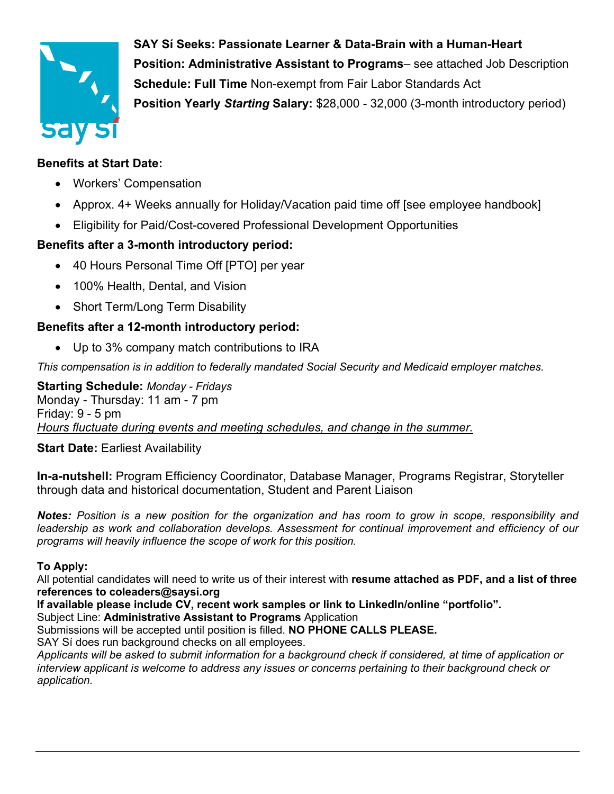

**SAY Sí Seeks: Passionate Learner & Data-Brain with a Human-Heart Position: Administrative Assistant to Programs**– see attached Job Description **Schedule: Full Time** Non-exempt from Fair Labor Standards Act **Position Yearly** *Starting* **Salary:** \$28,000 - 32,000 (3-month introductory period)

## **Benefits at Start Date:**

- Workers' Compensation
- Approx. 4+ Weeks annually for Holiday/Vacation paid time off [see employee handbook]
- Eligibility for Paid/Cost-covered Professional Development Opportunities

# **Benefits after a 3-month introductory period:**

- 40 Hours Personal Time Off [PTO] per year
- 100% Health, Dental, and Vision
- Short Term/Long Term Disability

# **Benefits after a 12-month introductory period:**

• Up to 3% company match contributions to IRA

*This compensation is in addition to federally mandated Social Security and Medicaid employer matches.*

**Starting Schedule:** *Monday - Fridays* Monday - Thursday: 11 am - 7 pm Friday: 9 - 5 pm *Hours fluctuate during events and meeting schedules, and change in the summer.*

### **Start Date: Earliest Availability**

**In-a-nutshell:** Program Efficiency Coordinator, Database Manager, Programs Registrar, Storyteller through data and historical documentation, Student and Parent Liaison

*Notes: Position is a new position for the organization and has room to grow in scope, responsibility and leadership as work and collaboration develops. Assessment for continual improvement and efficiency of our programs will heavily influence the scope of work for this position.*

### **To Apply:**

All potential candidates will need to write us of their interest with **resume attached as PDF, and a list of three references to coleaders@saysi.org**

**If available please include CV, recent work samples or link to LinkedIn/online "portfolio".** Subject Line: **Administrative Assistant to Programs** Application

Submissions will be accepted until position is filled. **NO PHONE CALLS PLEASE.** 

SAY Sí does run background checks on all employees.

*Applicants will be asked to submit information for a background check if considered, at time of application or interview applicant is welcome to address any issues or concerns pertaining to their background check or application.*